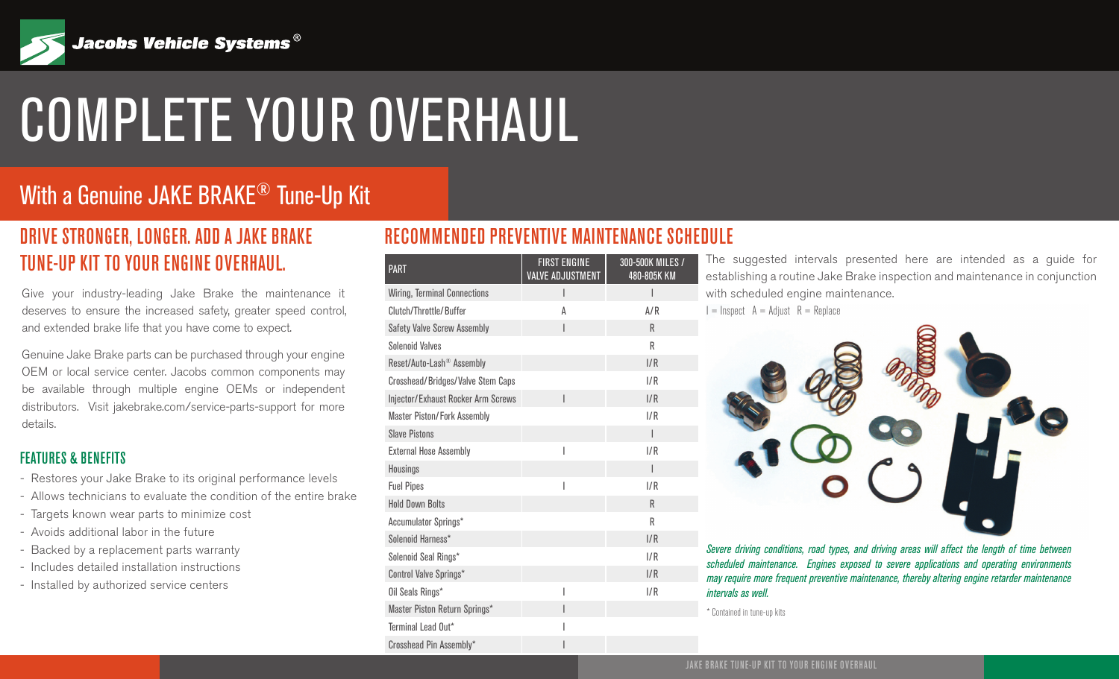

# COMPLETE YOUR OVERHAUL

## With a Genuine JAKE BRAKE<sup>®</sup> Tune-Up Kit

### DRIVE STRONGER, LONGER. ADD A JAKE BRAKE TUNE-UP KIT TO YOUR ENGINE OVERHAUL.

Give your industry-leading Jake Brake the maintenance it deserves to ensure the increased safety, greater speed control, and extended brake life that you have come to expect.

Genuine Jake Brake parts can be purchased through your engine OEM or local service center. Jacobs common components may be available through multiple engine OEMs or independent distributors. Visit jakebrake.com/service-parts-support for more details.

#### FEATURES & BENEFITS

- Restores your Jake Brake to its original performance levels
- Allows technicians to evaluate the condition of the entire brake
- Targets known wear parts to minimize cost
- Avoids additional labor in the future
- Backed by a replacement parts warranty
- Includes detailed installation instructions
- Installed by authorized service centers

#### RECOMMENDED PREVENTIVE MAINTENANCE SCHEDULE

| <b>PART</b>                               | <b>FIRST ENGINE</b><br><b>VALVE ADJUSTMENT</b> | 300-500K MILES /<br>480-805K KM |
|-------------------------------------------|------------------------------------------------|---------------------------------|
| <b>Wiring, Terminal Connections</b>       |                                                | I                               |
| Clutch/Throttle/Buffer                    | Α                                              | A/R                             |
| <b>Safety Valve Screw Assembly</b>        | I                                              | R                               |
| <b>Solenoid Valves</b>                    |                                                | R                               |
| Reset/Auto-Lash® Assembly                 |                                                | I/R                             |
| <b>Crosshead/Bridges/Valve Stem Caps</b>  |                                                | 1/R                             |
| <b>Injector/Exhaust Rocker Arm Screws</b> |                                                | I/R                             |
| <b>Master Piston/Fork Assembly</b>        |                                                | I/R                             |
| <b>Slave Pistons</b>                      |                                                | I                               |
| <b>External Hose Assembly</b>             | ı                                              | 1/R                             |
| Housings                                  |                                                | I                               |
| <b>Fuel Pipes</b>                         |                                                | 1/R                             |
| <b>Hold Down Bolts</b>                    |                                                | R                               |
| Accumulator Springs*                      |                                                | R                               |
| Solenoid Harness*                         |                                                | I/R                             |
| Solenoid Seal Rings*                      |                                                | 1/R                             |
| Control Valve Springs*                    |                                                | I/R                             |
| Oil Seals Rings*                          | I                                              | 1/R                             |
| Master Piston Return Springs*             | I                                              |                                 |
| Terminal Lead Out*                        |                                                |                                 |
| Crosshead Pin Assembly*                   | ı                                              |                                 |

The suggested intervals presented here are intended as a guide for establishing a routine Jake Brake inspection and maintenance in conjunction with scheduled engine maintenance.

 $I =$  Inspect  $A =$  Adjust  $R =$  Replace



*Severe driving conditions, road types, and driving areas will affect the length of time between scheduled maintenance. Engines exposed to severe applications and operating environments may require more frequent preventive maintenance, thereby altering engine retarder maintenance intervals as well.*

\* Contained in tune-up kits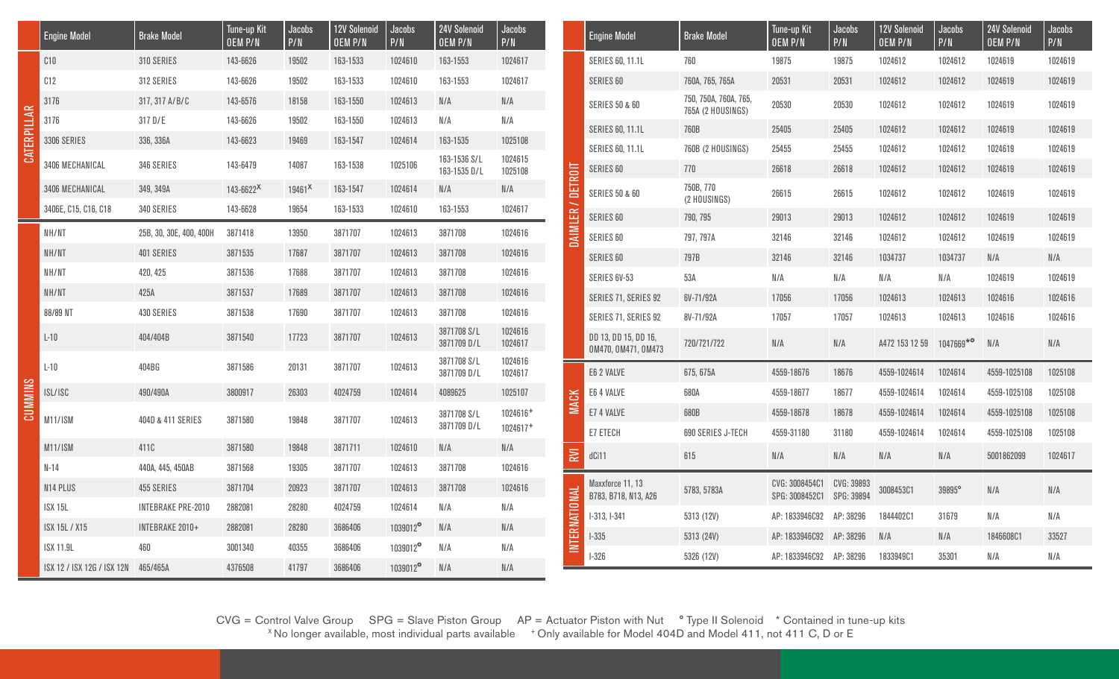|   | <b>Engine Model</b>        | <b>Brake Model</b>                                          | Tune-up Kit<br><b>OEM P/N</b> | Jacobs<br>P/N      | <b>12V Solenoid</b><br>OEM P/N | Jacobs<br>P/N | 24V Solenoid<br><b>OEM P/N</b> | Jacobs<br>P/N        |                   | <b>Engine Model</b>                         | <b>Brake Model</b>                         | Tune-up Kit<br><b>OEM P/N</b>    | Jacobs<br>P/N            | <b>12V Solenoid</b><br>OEM P/N | Jacobs<br>P/N | 24V Solenoid<br>OEM P/N | Jacobs<br>P/N           |
|---|----------------------------|-------------------------------------------------------------|-------------------------------|--------------------|--------------------------------|---------------|--------------------------------|----------------------|-------------------|---------------------------------------------|--------------------------------------------|----------------------------------|--------------------------|--------------------------------|---------------|-------------------------|-------------------------|
|   | C10                        | 310 SERIES                                                  | 143-6626                      | 19502              | 163-1533                       | 1024610       | 163-1553                       | 1024617              |                   | <b>SERIES 60, 11.1L</b>                     | 760                                        | 19875                            | 19875                    | 1024612                        | 1024612       | 1024619                 | 1024619                 |
|   | C12                        | 312 SERIES                                                  | 143-6626                      | 19502              | 163-1533                       | 1024610       | 163-1553                       | 1024617              |                   | SERIES 60                                   | 760A, 765, 765A                            | 20531                            | 20531                    | 1024612                        | 1024612       | 1024619                 | 1024619                 |
|   | 3176                       | 317, 317 A/B/C                                              | 143-6576                      | 18158              | 163-1550                       | 1024613       | $\mathbb N/\mathbb A$          | N/A                  |                   | <b>SERIES 50 &amp; 60</b>                   | 750, 750A, 760A, 765,<br>765A (2 HOUSINGS) | 20530                            | 20530                    | 1024612                        | 1024612       | 1024619                 | 1024619                 |
|   | 3176                       | 317 D/E                                                     | 143-6626                      | 19502              | 163-1550                       | 1024613       | N/A                            | N/A                  |                   | <b>SERIES 60, 11.1L</b>                     | 760B                                       | 25405                            | 25405                    | 1024612                        | 1024612       | 1024619                 | 1024619                 |
|   | 3306 SERIES                | 336, 336A                                                   | 143-6623                      | 19469              | 163-1547                       | 1024614       | 163-1535                       | 1025108              |                   | <b>SERIES 60, 11.1L</b>                     | 760B (2 HOUSINGS)                          | 25455                            | 25455                    | 1024612                        | 1024612       | 1024619                 | 1024619                 |
| 룡 | 3406 MECHANICAL            | 346 SERIES                                                  | 143-6479                      | 14087              | 163-1538                       | 1025106       | 163-1536 S/L<br>163-1535 D/L   | 1024615<br>1025108   |                   | SERIES 60                                   | 770                                        | 26618                            | 26618                    | 1024612                        | 1024612       | 1024619                 | 1024619                 |
|   | 3406 MECHANICAL            | 349, 349A                                                   | $143 - 6622^{\text{X}}$       | $19461^{\text{X}}$ | 163-1547                       | 1024614       | N/A                            | N/A                  | DAIMLER / DETROIT | <b>SERIES 50 &amp; 60</b>                   | 750B, 770<br>(2 HOUSINGS)                  | 26615                            | 26615                    | 1024612                        | 1024612       | 1024619                 | 1024619                 |
|   | 3406E, C15, C16, C18       | 340 SERIES                                                  | 143-6628                      | 19654              | 163-1533                       | 1024610       | 163-1553                       | 1024617              |                   | SERIES 60                                   | 790, 795                                   | 29013                            | 29013                    | 1024612                        | 1024612       | 1024619                 | 1024619                 |
|   | NH/NT                      | 25B, 30, 30E, 400, 400H                                     | 3871418                       | 13950              | 3871707                        | 1024613       | 3871708                        | 1024616              |                   | SERIES 60                                   | 797, 797A                                  | 32146                            | 32146                    | 1024612                        | 1024612       | 1024619                 | 1024619                 |
|   | NH/NT                      | 401 SERIES                                                  | 3871535                       | 17687              | 3871707                        | 1024613       | 3871708                        | 1024616              |                   | SERIES 60                                   | 797B                                       | 32146                            | 32146                    | 1034737                        | 1034737       | N/A                     | N/A                     |
|   | NH/NT                      | 420, 425                                                    | 3871536                       | 17688              | 3871707                        | 1024613       | 3871708                        | 1024616              |                   | SERIES 6V-53                                | 53A                                        | N/A                              | N/A                      | N/A                            | N/A           | 1024619                 | 1024619                 |
|   | NH/NT                      | 425A                                                        | 3871537                       | 17689              | 3871707                        | 1024613       | 3871708                        | 1024616              |                   | SERIES 71, SERIES 92                        | 6V-71/92A                                  | 17056                            | 17056                    | 1024613                        | 1024613       | 1024616                 | 1024616                 |
|   | 88/89 NT                   | 430 SERIES                                                  | 3871538                       | 17690              | 3871707                        | 1024613       | 3871708                        | 1024616              |                   | SERIES 71, SERIES 92                        | 8V-71/92A                                  | 17057                            | 17057                    | 1024613                        | 1024613       | 1024616                 | 1024616                 |
|   | $L-10$                     | 404/404B                                                    | 3871540                       | 17723              | 3871707                        | 1024613       | 3871708 S/L<br>3871709 D/L     | 1024616<br>1024617   |                   | DD 13, DD 15, DD 16,<br>0M470, 0M471, 0M473 | 720/721/722                                | N/A                              | N/A                      | A472 153 12 59                 | 1047669*°     | N/A                     | $\mathbb N/\mathbb A$   |
|   | $L-10$                     | 404BG                                                       | 3871586                       | 20131              | 3871707                        | 1024613       | 3871708 S/L<br>3871709 D/L     | 1024616<br>1024617   |                   | E6 2 VALVE                                  | 675, 675A                                  | 4559-18676                       | 18676                    | 4559-1024614                   | 1024614       | 4559-1025108            | 1025108                 |
|   | ISL/ISC                    | 490/490A                                                    | 3800917                       | 26303              | 4024759                        | 1024614       | 4089625                        | 1025107              |                   | E6 4 VALVE                                  | 680A                                       | 4559-18677                       | 18677                    | 4559-1024614                   | 1024614       | 4559-1025108            | 1025108                 |
|   | <b>M11/ISM</b>             | 1024613<br>404D & 411 SERIES<br>3871580<br>19848<br>3871707 | 3871708 S/L                   | 1024616+           | <b>MACK</b>                    | E7 4 VALVE    | 680B                           | 4559-18678           | 18678             | 4559-1024614                                | 1024614                                    | 4559-1025108                     | 1025108                  |                                |               |                         |                         |
|   |                            |                                                             |                               |                    |                                |               | 3871709 D/L                    | 1024617 <sup>+</sup> |                   | E7 ETECH                                    | <b>690 SERIES J-TECH</b>                   | 4559-31180                       | 31180                    | 4559-1024614                   | 1024614       | 4559-1025108            | 1025108                 |
|   | M11/ISM                    | 411C                                                        | 3871580                       | 19848              | 3871711                        | 1024610       | N/A                            | N/A                  | <b>RVI</b>        | dCi11                                       | 615                                        | $\mathbb{N}/\mathbb{A}$          | $\mathbb{N}/\mathbb{A}$  | N/A                            | N/A           | 5001862099              | 1024617                 |
|   | $N-14$                     | 440A, 445, 450AB                                            | 3871568                       | 19305              | 3871707                        | 1024613       | 3871708                        | 1024616              |                   |                                             |                                            |                                  |                          |                                |               |                         |                         |
|   | N14 PLUS                   | 455 SERIES                                                  | 3871704                       | 20923              | 3871707                        | 1024613       | 3871708                        | 1024616              |                   | Maxxforce 11, 13<br>B783, B718, N13, A26    | 5783, 5783A                                | CVG: 3008454C1<br>SPG: 3008452C1 | CVG: 39893<br>SPG: 39894 | 3008453C1                      | 39895°        | N/A                     | N/A                     |
|   | <b>ISX 15L</b>             | <b>INTEBRAKE PRE-2010</b>                                   | 2882081                       | 28280              | 4024759                        | 1024614       | N/A                            | N/A                  |                   | I-313, I-341                                | 5313 (12V)                                 | AP: 1833946C92                   | AP: 38296                | 1844402C1                      | 31679         | N/A                     | N/A                     |
|   | ISX 15L / X15              | INTEBRAKE 2010+                                             | 2882081                       | 28280              | 3686406                        | 1039012°      | N/A                            | N/A                  | INTERNATIONAL     | $1-335$                                     | 5313 (24V)                                 | AP: 1833946C92                   | AP: 38296                | N/A                            | N/A           | 1846608C                | 33527                   |
|   | <b>ISX 11.9L</b>           | 460                                                         | 3001340                       | 40355              | 3686406                        | 1039012°      | N/A                            | N/A                  |                   | $1-326$                                     | 5326 (12V)                                 | AP: 1833946C92                   | AP: 38296                | 1833949C1                      | 35301         | N/A                     | $\mathsf{N}/\mathsf{A}$ |
|   | ISX 12 / ISX 12G / ISX 12N | 465/465A                                                    | 4376508                       | 41797              | 3686406                        | 1039012°      | N/A                            | N/A                  |                   |                                             |                                            |                                  |                          |                                |               |                         |                         |

 $CVG =$  Control Valve Group  $SPG =$  Slave Piston Group  $AP =$  Actuator Piston with Nut  $°$  Type II Solenoid  $*$  Contained in tune-up kits  $*$  No longer available, most individual parts available  $*$  Only available for Model 404